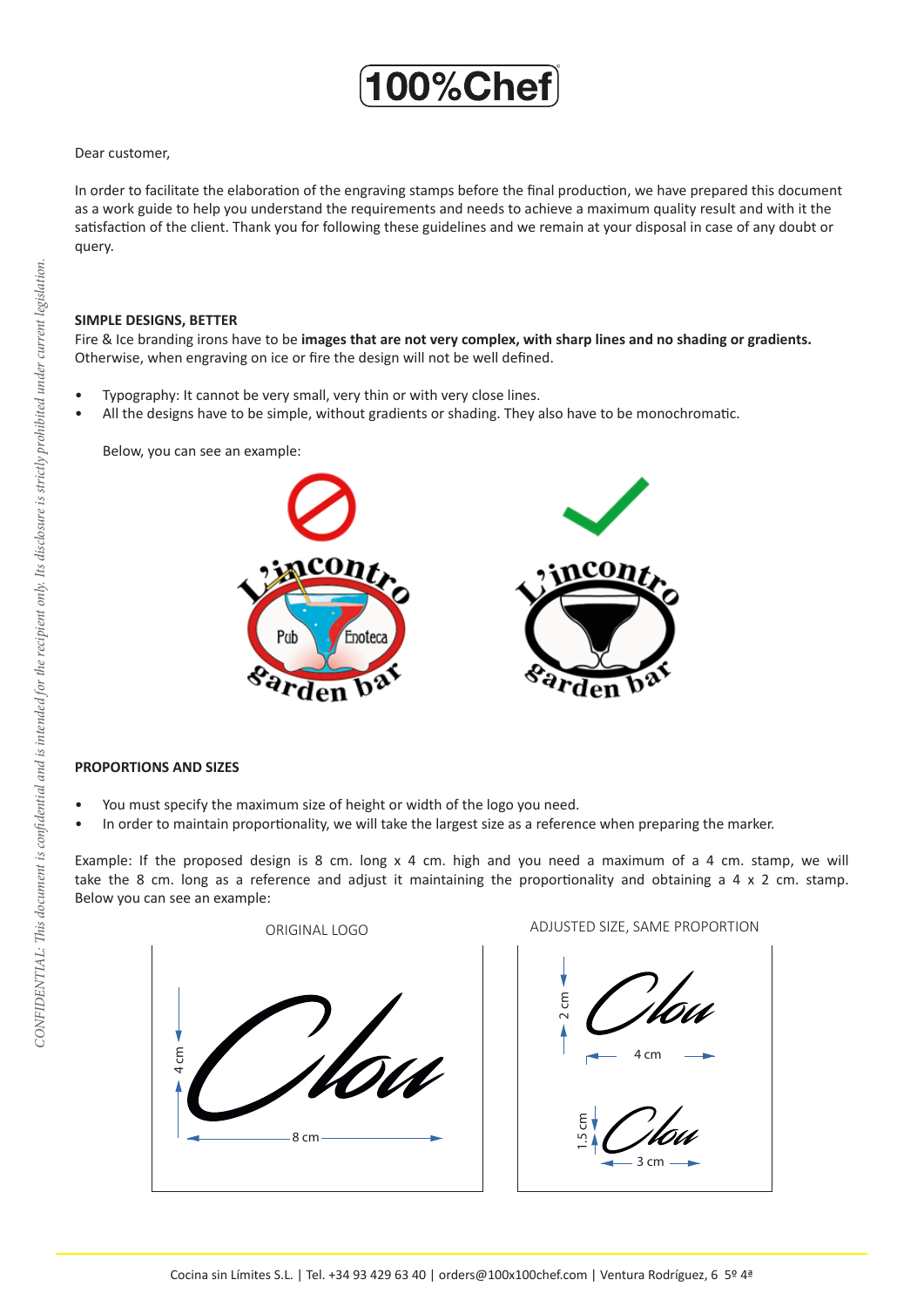

### Dear customer,

In order to facilitate the elaboration of the engraving stamps before the final production, we have prepared this document as a work guide to help you understand the requirements and needs to achieve a maximum quality result and with it the satisfaction of the client. Thank you for following these guidelines and we remain at your disposal in case of any doubt or query.

#### **SIMPLE DESIGNS, BETTER**

Fire & Ice branding irons have to be **images that are not very complex, with sharp lines and no shading or gradients.**  Otherwise, when engraving on ice or fire the design will not be well defined.

- Typography: It cannot be very small, very thin or with very close lines.
- All the designs have to be simple, without gradients or shading. They also have to be monochromatic.

Below, you can see an example:



## **PROPORTIONS AND SIZES**

- You must specify the maximum size of height or width of the logo you need.
- In order to maintain proportionality, we will take the largest size as a reference when preparing the marker.

Example: If the proposed design is 8 cm. long x 4 cm. high and you need a maximum of a 4 cm. stamp, we will take the 8 cm. long as a reference and adjust it maintaining the proportionality and obtaining a 4 x 2 cm. stamp. Below you can see an example: